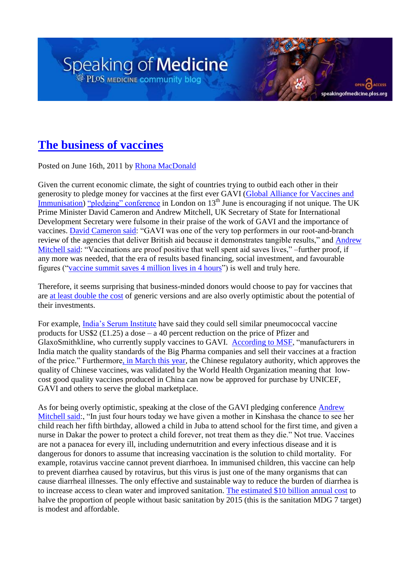## **[The business of vaccines](http://blogs.plos.org/speakingofmedicine/2011/06/16/the-business-of-vaccines/)**

Posted on June 16th, 2011 by [Rhona MacDonald](http://blogs.plos.org/speakingofmedicine/author/rmacdonald/)

Given the current economic climate, the sight of countries trying to outbid each other in their generosity to pledge money for vaccines at the first ever GAVI [\(Global Alliance for Vaccines and](http://www.gavialliance.org/)  [Immunisation\)](http://www.gavialliance.org/) "pledging" conference in London on  $13<sup>th</sup>$  June is encouraging if not unique. The UK Prime Minister David Cameron and Andrew Mitchell, UK Secretary of State for International Development Secretary were fulsome in their praise of the work of GAVI and the importance of vaccines. [David Cameron said:](http://www.dfid.gov.uk/Media-Room/Press-releases/2011/new-corporate-content-page/) "GAVI was one of the very top performers in our root-and-branch review of the agencies that deliver British aid because it demonstrates tangible results," and Andrew [Mitchell said:](http://www.dfid.gov.uk/Media-Room/Press-releases/2011/new-corporate-content-page/) "Vaccinations are proof positive that well spent aid saves lives," –further proof, if any more was needed, that the era of results based financing, social investment, and favourable figures ("vaccine summit saves 4 million lives in 4 hours") is well and truly here.

speaking of medicine.plos.org

Therefore, it seems surprising that business-minded donors would choose to pay for vaccines that are [at least double the cost](http://www.guardian.co.uk/society/2011/jun/06/analysis-vaccination-programmes) of generic versions and are also overly optimistic about the potential of their investments.

For example, [India's Serum Institute](http://www.msfaccess.org/main/vaccines/gavi-money-welcome-but-could-it-be-more-wisely-spent/) have said they could sell similar pneumococcal vaccine products for US\$2 (£1.25) a dose – a 40 percent reduction on the price of Pfizer and GlaxoSmithkline, who currently supply vaccines to GAVI. [According to MSF,](http://www.msfaccess.org/main/vaccines/gavi-money-welcome-but-could-it-be-more-wisely-spent/) "manufacturers in India match the quality standards of the Big Pharma companies and sell their vaccines at a fraction of the price." Furthermor[e, in March this year,](http://www.msfaccess.org/main/vaccines/gavi-money-welcome-but-could-it-be-more-wisely-spent/) the Chinese regulatory authority, which approves the quality of Chinese vaccines, was validated by the World Health Organization meaning that lowcost good quality vaccines produced in China can now be approved for purchase by UNICEF, GAVI and others to serve the global marketplace.

As for being overly optimistic, speaking at the close of the GAVI pledging conference [Andrew](http://www.dfid.gov.uk/Media-Room/Press-releases/2011/new-corporate-content-page/)  [Mitchell said:](http://www.dfid.gov.uk/Media-Room/Press-releases/2011/new-corporate-content-page/), "In just four hours today we have given a mother in Kinshasa the chance to see her child reach her fifth birthday, allowed a child in Juba to attend school for the first time, and given a nurse in Dakar the power to protect a child forever, not treat them as they die." Not true. Vaccines are not a panacea for every ill, including undernutrition and every infectious disease and it is dangerous for donors to assume that increasing vaccination is the solution to child mortality. For example, rotavirus vaccine cannot prevent diarrhoea. In immunised children, this vaccine can help to prevent diarrhea caused by rotavirus, but this virus is just one of the many organisms that can cause diarrheal illnesses. The only effective and sustainable way to reduce the burden of diarrhea is to increase access to clean water and improved sanitation. [The estimated \\$10 billion annual cost](http://esa.un.org/iys/achievable.shtml) to halve the proportion of people without basic sanitation by 2015 (this is the sanitation MDG 7 target) is modest and affordable.